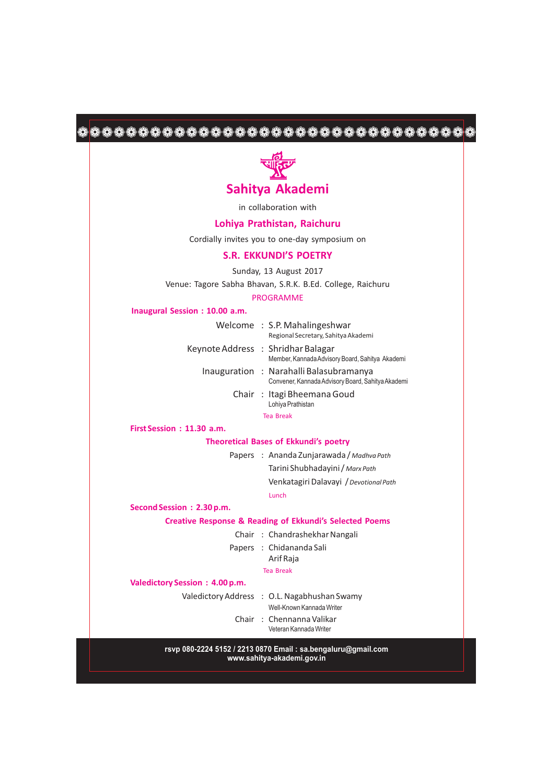# 



in collaboration with

## **Lohiya Prathistan, Raichuru**

Cordially invites you to one-day symposium on

### **S.R. EKKUNDI'S POETRY**

Sunday, 13 August 2017

Venue: Tagore Sabha Bhavan, S.R.K. B.Ed. College, Raichuru

#### PROGRAMME

#### **Inaugural Session : 10.00 a.m.**

|  | Welcome: S.P. Mahalingeshwar                      |
|--|---------------------------------------------------|
|  | Regional Secretary, Sahitya Akademi               |
|  |                                                   |
|  | Keynote Address : Shridhar Balagar                |
|  | Member, Kannada Advisory Board, Sahitya Akademi   |
|  | Inauguration : Narahalli Balasubramanya           |
|  | Convener, Kannada Advisory Board, Sahitya Akademi |
|  | Chair: Itagi Bheemana Goud                        |
|  | Lohiya Prathistan                                 |
|  | <b>Tea Break</b>                                  |
|  |                                                   |

**First Session : 11.30 a.m.**

### **Theoretical Bases of Ekkundi's poetry**

Papers : Ananda Zunjarawada / *Madhva Path* Tarini Shubhadayini / *Marx Path*

> Lunch Venkatagiri Dalavayi /*Devotional Path*

**Second Session : 2.30 p.m.**

**Creative Response & Reading of Ekkundi's Selected Poems**

Chair : Chandrashekhar Nangali

Papers : Chidananda Sali

Arif Raja

Tea Break

**Valedictory Session : 4.00 p.m.**

Valedictory Address : O.L. Nagabhushan Swamy

Well-Known Kannada Writer

Chair : Chennanna Valikar

Veteran Kannada Writer

**rsvp 080-2224 5152 / 2213 0870 Email : sa.bengaluru@gmail.com www.sahitya-akademi.gov.in**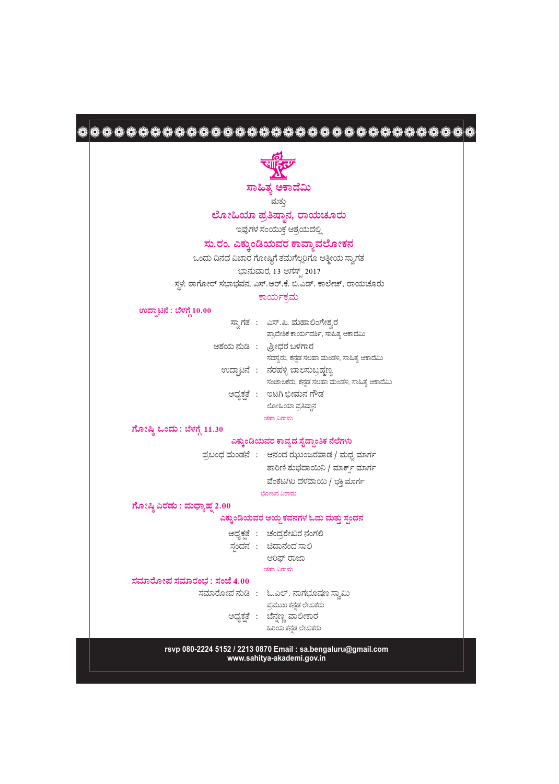| ಸಾಹಿತ್ಯ ಅಕಾದೆಮಿ                                                          |  |
|--------------------------------------------------------------------------|--|
| ಮತ್ತು                                                                    |  |
| ಲೋಹಿಯಾ ಪ್ರತಿಷ್ಠಾನ, ರಾಯಚೂರು                                               |  |
| ಇವುಗಳ ಸಂಯುಕ್ತ ಆಶ್ರಯದಲ್ಲಿ                                                 |  |
| ಸು.ರಂ. ಎಕ್ಕುಂಡಿಯವರ ಕಾವ್ಯಾವಲೋಕನ                                           |  |
| ಒಂದು ದಿನದ ವಿಚಾರ ಗೋಷ್ಠಿಗೆ ತಮಗೆಲ್ಲರಿಗೂ ಆತ್ಮೀಯ ಸ್ವಾಗತ                       |  |
| ಭಾನುವಾರ, 13 ಆಗಸ್ಟ್, 2017                                                 |  |
| ಸ್ಥಳ: ಠಾಗೋರ್ ಸಭಾಭವನ, ಎಸ್.ಆರ್.ಕೆ. ಬಿ.ಎಡ್. ಕಾಲೇಜ್, ರಾಯಚೂರು                 |  |
| ಕಾರ್ಯಕ್ರಮ                                                                |  |
| ಉದ್ಘಾಟನೆ : ಬೆಳಗ್ಗೆ 10.00                                                 |  |
| ಸ್ತಾಗತ : ಎಸ್.ಪಿ. ಮಹಾಲಿಂಗೇಶ್ರರ                                            |  |
| ಪ್ರಾದೇಶಿಕ ಕಾರ್ಯದರ್ಶಿ, ಸಾಹಿತ್ಯ ಅಕಾದೆಮಿ                                    |  |
| ಆಶಯ ನುಡಿ :  ಶ್ರೀಧರ ಬಳಗಾರ                                                 |  |
| ಸದಸ್ಯರು, ಕನ್ನಡ ಸಲಹಾ ಮಂಡಳಿ, ಸಾಹಿತ್ಯ ಅಕಾದೆಮಿ                               |  |
| ಉದ್ಘಾಟನೆ : ನರಹಳ್ಳಿ ಬಾಲಸುಬ್ರಹ್ಮಣ್ಯ                                        |  |
| ಸಂಚಾಲಕರು, ಕನ್ನಡ ಸಲಹಾ ಮಂಡಳಿ, ಸಾಹಿತ್ಯ ಆಕಾದೆಮಿ<br>ಅಧ್ಯಕ್ಷತೆ : ಇಟಗಿ ಭೀಮನ ಗೌಡ |  |
| ಲೋಹಿಯಾ ಪ್ರತಿಷ್ಠಾನ                                                        |  |
| ಚಹಾ ವಿರಾಮ                                                                |  |
| ಗೋಷ್ಠಿ ಒಂದು : ಬೆಳಗ್ಗೆ 11.30                                              |  |
| ಎಕ್ಕುಂಡಿಯವರ ಕಾವ್ಯದ ಸೈದ್ಧಾಂತಿಕ ನೆಲೆಗಳು                                    |  |
| ಪ್ರಬಂಧ ಮಂಡನೆ : ಆನಂದ ಝುಂಜರವಾಡ / ಮಧ್ವ ಮಾರ್ಗ                                |  |
| ತಾರಿಣಿ ಶುಭದಾಯಿನಿ / ಮಾರ್ಕ್ಸ್ ಮಾರ್ಗ                                        |  |
| ವೆಂಕಟಗಿರಿ ದಳವಾಯಿ / ಭಕ್ತಿ ಮಾರ್ಗ                                           |  |
| ಭೋಜನ ವಿರಾಮ                                                               |  |
| ಗೋಷ್ಠಿ ಎರಡು : ಮಧ್ಯಾಹ್ನ 2.00                                              |  |
| ಎಕ್ಕುಂಡಿಯವರ ಆಯ್ದ ಕವನಗಳ ಓದು ಮತ್ತು ಸ್ಪಂದನ                                  |  |
| ಅಧ್ಯಕ್ಷತೆ : ಚಂದ್ರಶೇಖರ ನಂಗಲಿ                                              |  |
| ಸ್ಪಂದನ: ಚಿದಾನಂದ ಸಾಲಿ                                                     |  |
| ಆರಿಫ್ ರಾಜಾ                                                               |  |
| ಚಹಾ ವಿರಾಮ                                                                |  |
| ಸಮಾರೋಪ ಸಮಾರಂಭ : ಸಂಜೆ 4.00                                                |  |
| ಸಮಾರೋಪ ನುಡಿ : ಓ.ಎಲ್. ನಾಗಭೂಷಣ ಸ್ವಾಮಿ                                      |  |
| ಪ್ರಮುಖ ಕನ್ನಡ ಲೇಖಕರು<br>ಅಧ್ಯಕ್ಷತೆ : ಚೆನ್ನಣ್ಣ ವಾಲೀಕಾರ                      |  |
| ಹಿರಿಯ ಕನ್ನಡ ಲೇಖಕರು                                                       |  |
| rsvp 080-2224 5152 / 2213 0870 Email: sa.bengaluru@gmail.com             |  |

52 / 2213 0870 Email : sa.beng.<br>www.sahitya-akademi.gov.in